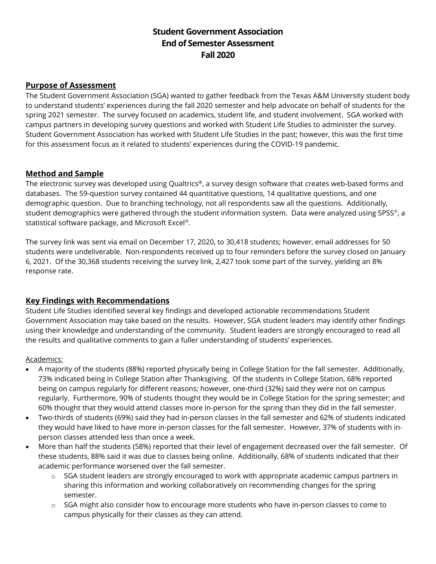# **Student Government Association End of Semester Assessment Fall 2020**

# **Purpose of Assessment**

The Student Government Association (SGA) wanted to gather feedback from the Texas A&M University student body to understand students' experiences during the fall 2020 semester and help advocate on behalf of students for the spring 2021 semester. The survey focused on academics, student life, and student involvement. SGA worked with campus partners in developing survey questions and worked with Student Life Studies to administer the survey. Student Government Association has worked with Student Life Studies in the past; however, this was the first time for this assessment focus as it related to students' experiences during the COVID-19 pandemic.

# **Method and Sample**

The electronic survey was developed using Qualtrics®, a survey design software that creates web-based forms and databases. The 59-question survey contained 44 quantitative questions, 14 qualitative questions, and one demographic question. Due to branching technology, not all respondents saw all the questions. Additionally, student demographics were gathered through the student information system. Data were analyzed using SPSS®, a statistical software package, and Microsoft Excel®.

The survey link was sent via email on December 17, 2020, to 30,418 students; however, email addresses for 50 students were undeliverable. Non-respondents received up to four reminders before the survey closed on January 6, 2021. Of the 30,368 students receiving the survey link, 2,427 took some part of the survey, yielding an 8% response rate.

## **Key Findings with Recommendations**

Student Life Studies identified several key findings and developed actionable recommendations Student Government Association may take based on the results. However, SGA student leaders may identify other findings using their knowledge and understanding of the community. Student leaders are strongly encouraged to read all the results and qualitative comments to gain a fuller understanding of students' experiences.

## Academics:

- A majority of the students (88%) reported physically being in College Station for the fall semester. Additionally, 73% indicated being in College Station after Thanksgiving. Of the students in College Station, 68% reported being on campus regularly for different reasons; however, one-third (32%) said they were not on campus regularly. Furthermore, 90% of students thought they would be in College Station for the spring semester; and 60% thought that they would attend classes more in-person for the spring than they did in the fall semester.
- Two-thirds of students (69%) said they had in-person classes in the fall semester and 62% of students indicated they would have liked to have more in-person classes for the fall semester. However, 37% of students with inperson classes attended less than once a week.
- More than half the students (58%) reported that their level of engagement decreased over the fall semester. Of these students, 88% said it was due to classes being online. Additionally, 68% of students indicated that their academic performance worsened over the fall semester.
	- o SGA student leaders are strongly encouraged to work with appropriate academic campus partners in sharing this information and working collaboratively on recommending changes for the spring semester.
	- o SGA might also consider how to encourage more students who have in-person classes to come to campus physically for their classes as they can attend.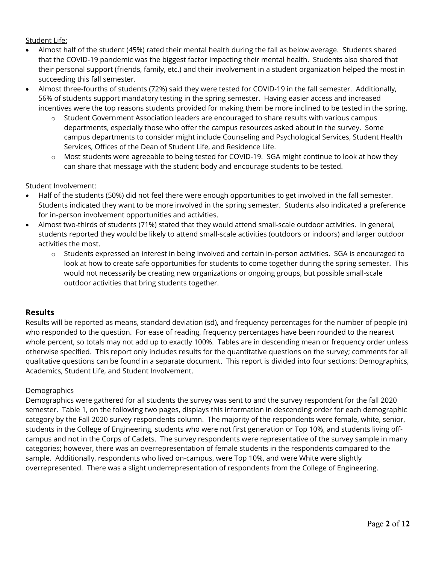#### Student Life:

- Almost half of the student (45%) rated their mental health during the fall as below average. Students shared that the COVID-19 pandemic was the biggest factor impacting their mental health. Students also shared that their personal support (friends, family, etc.) and their involvement in a student organization helped the most in succeeding this fall semester.
- Almost three-fourths of students (72%) said they were tested for COVID-19 in the fall semester. Additionally, 56% of students support mandatory testing in the spring semester. Having easier access and increased incentives were the top reasons students provided for making them be more inclined to be tested in the spring.
	- Student Government Association leaders are encouraged to share results with various campus departments, especially those who offer the campus resources asked about in the survey. Some campus departments to consider might include Counseling and Psychological Services, Student Health Services, Offices of the Dean of Student Life, and Residence Life.
	- o Most students were agreeable to being tested for COVID-19. SGA might continue to look at how they can share that message with the student body and encourage students to be tested.

#### Student Involvement:

- Half of the students (50%) did not feel there were enough opportunities to get involved in the fall semester. Students indicated they want to be more involved in the spring semester. Students also indicated a preference for in-person involvement opportunities and activities.
- Almost two-thirds of students (71%) stated that they would attend small-scale outdoor activities. In general, students reported they would be likely to attend small-scale activities (outdoors or indoors) and larger outdoor activities the most.
	- o Students expressed an interest in being involved and certain in-person activities. SGA is encouraged to look at how to create safe opportunities for students to come together during the spring semester. This would not necessarily be creating new organizations or ongoing groups, but possible small-scale outdoor activities that bring students together.

## **Results**

Results will be reported as means, standard deviation (sd), and frequency percentages for the number of people (n) who responded to the question. For ease of reading, frequency percentages have been rounded to the nearest whole percent, so totals may not add up to exactly 100%. Tables are in descending mean or frequency order unless otherwise specified. This report only includes results for the quantitative questions on the survey; comments for all qualitative questions can be found in a separate document. This report is divided into four sections: Demographics, Academics, Student Life, and Student Involvement.

#### **Demographics**

Demographics were gathered for all students the survey was sent to and the survey respondent for the fall 2020 semester. Table 1, on the following two pages, displays this information in descending order for each demographic category by the Fall 2020 survey respondents column. The majority of the respondents were female, white, senior, students in the College of Engineering, students who were not first generation or Top 10%, and students living offcampus and not in the Corps of Cadets. The survey respondents were representative of the survey sample in many categories; however, there was an overrepresentation of female students in the respondents compared to the sample. Additionally, respondents who lived on-campus, were Top 10%, and were White were slightly overrepresented. There was a slight underrepresentation of respondents from the College of Engineering.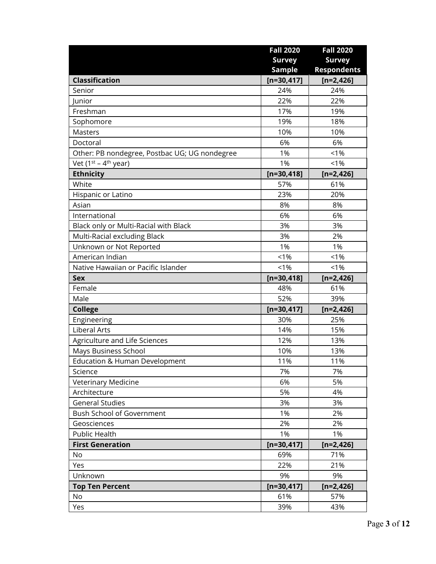|                                               | <b>Fall 2020</b> | <b>Fall 2020</b>   |
|-----------------------------------------------|------------------|--------------------|
|                                               | <b>Survey</b>    | <b>Survey</b>      |
|                                               | <b>Sample</b>    | <b>Respondents</b> |
| <b>Classification</b>                         | $[n=30,417]$     | $[n=2,426]$        |
| Senior                                        | 24%              | 24%                |
| Junior                                        | 22%              | 22%                |
| Freshman                                      | 17%              | 19%                |
| Sophomore                                     | 19%              | 18%                |
| <b>Masters</b>                                | 10%              | 10%                |
| Doctoral                                      | 6%               | 6%                 |
| Other: PB nondegree, Postbac UG; UG nondegree | 1%               | < 1%               |
| Vet (1 <sup>st</sup> - 4 <sup>th</sup> year)  | 1%               | $< 1\%$            |
| <b>Ethnicity</b>                              | $[n=30,418]$     | $[n=2,426]$        |
| White                                         | 57%              | 61%                |
| Hispanic or Latino                            | 23%              | 20%                |
| Asian                                         | 8%               | 8%                 |
| International                                 | 6%               | 6%                 |
| Black only or Multi-Racial with Black         | 3%               | 3%                 |
| Multi-Racial excluding Black                  | 3%               | 2%                 |
| Unknown or Not Reported                       | 1%               | 1%                 |
| American Indian                               | $< 1\%$          | $< 1\%$            |
| Native Hawaiian or Pacific Islander           | $< 1\%$          | $< 1\%$            |
| <b>Sex</b>                                    | $[n=30,418]$     | $[n=2,426]$        |
| Female                                        | 48%              | 61%                |
| Male                                          | 52%              | 39%                |
| <b>College</b>                                | $[n=30, 417]$    | $[n=2,426]$        |
| Engineering                                   | 30%              | 25%                |
| <b>Liberal Arts</b>                           | 14%              | 15%                |
| Agriculture and Life Sciences                 | 12%              | 13%                |
| Mays Business School                          | 10%              | 13%                |
| <b>Education &amp; Human Development</b>      | 11%              | 11%                |
| Science                                       | 7%               | 7%                 |
| Veterinary Medicine                           | 6%               | 5%                 |
| Architecture                                  | 5%               | 4%                 |
| <b>General Studies</b>                        | 3%               | 3%                 |
| <b>Bush School of Government</b>              | 1%               | 2%                 |
| Geosciences                                   | 2%               | 2%                 |
| Public Health                                 | 1%               | 1%                 |
| <b>First Generation</b>                       | $[n=30, 417]$    | $[n=2,426]$        |
| No                                            | 69%              | 71%                |
| Yes                                           | 22%              | 21%                |
| Unknown                                       | 9%               | 9%                 |
| <b>Top Ten Percent</b>                        | $[n=30,417]$     | $[n=2,426]$        |
| No                                            | 61%              | 57%                |
| Yes                                           | 39%              | 43%                |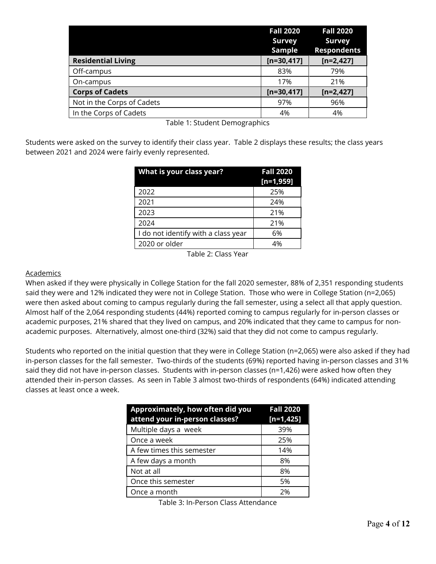|                            | <b>Fall 2020</b><br><b>Survey</b><br>Sample | <b>Fall 2020</b><br><b>Survey</b><br><b>Respondents</b> |
|----------------------------|---------------------------------------------|---------------------------------------------------------|
| <b>Residential Living</b>  | $[n=30,417]$                                | $[n=2,427]$                                             |
| Off-campus                 | 83%                                         | 79%                                                     |
| On-campus                  | 17%                                         | 21%                                                     |
| <b>Corps of Cadets</b>     | $[n=30,417]$                                | $[n=2,427]$                                             |
| Not in the Corps of Cadets | 97%                                         | 96%                                                     |
| In the Corps of Cadets     | 4%                                          | 4%                                                      |

Table 1: Student Demographics

Students were asked on the survey to identify their class year. Table 2 displays these results; the class years between 2021 and 2024 were fairly evenly represented.

| What is your class year?            | <b>Fall 2020</b><br>$[n=1,959]$ |
|-------------------------------------|---------------------------------|
| 2022                                | 25%                             |
| 2021                                | 24%                             |
| 2023                                | 21%                             |
| 2024                                | 21%                             |
| I do not identify with a class year | 6%                              |
| 2020 or older                       | 4%                              |

Table 2: Class Year

#### Academics

When asked if they were physically in College Station for the fall 2020 semester, 88% of 2,351 responding students said they were and 12% indicated they were not in College Station. Those who were in College Station (n=2,065) were then asked about coming to campus regularly during the fall semester, using a select all that apply question. Almost half of the 2,064 responding students (44%) reported coming to campus regularly for in-person classes or academic purposes, 21% shared that they lived on campus, and 20% indicated that they came to campus for nonacademic purposes. Alternatively, almost one-third (32%) said that they did not come to campus regularly.

Students who reported on the initial question that they were in College Station (n=2,065) were also asked if they had in-person classes for the fall semester. Two-thirds of the students (69%) reported having in-person classes and 31% said they did not have in-person classes. Students with in-person classes (n=1,426) were asked how often they attended their in-person classes. As seen in Table 3 almost two-thirds of respondents (64%) indicated attending classes at least once a week.

| Approximately, how often did you<br>attend your in-person classes? | <b>Fall 2020</b><br>$[n=1,425]$ |
|--------------------------------------------------------------------|---------------------------------|
| Multiple days a week                                               | 39%                             |
| Once a week                                                        | 25%                             |
| A few times this semester                                          | 14%                             |
| A few days a month                                                 | 8%                              |
| Not at all                                                         | 8%                              |
| Once this semester                                                 | 5%                              |
| Once a month                                                       | 2%                              |

Table 3: In-Person Class Attendance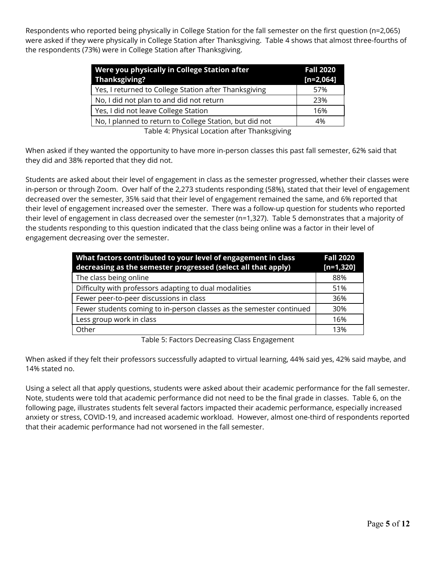Respondents who reported being physically in College Station for the fall semester on the first question (n=2,065) were asked if they were physically in College Station after Thanksgiving. Table 4 shows that almost three-fourths of the respondents (73%) were in College Station after Thanksgiving.

| Were you physically in College Station after<br>Thanksgiving? | <b>Fall 2020</b><br>$[n=2,064]$ |
|---------------------------------------------------------------|---------------------------------|
| Yes, I returned to College Station after Thanksgiving         | 57%                             |
| No, I did not plan to and did not return                      | 23%                             |
| Yes, I did not leave College Station                          | 16%                             |
| No, I planned to return to College Station, but did not       | 4%                              |
|                                                               |                                 |

Table 4: Physical Location after Thanksgiving

When asked if they wanted the opportunity to have more in-person classes this past fall semester, 62% said that they did and 38% reported that they did not.

Students are asked about their level of engagement in class as the semester progressed, whether their classes were in-person or through Zoom. Over half of the 2,273 students responding (58%), stated that their level of engagement decreased over the semester, 35% said that their level of engagement remained the same, and 6% reported that their level of engagement increased over the semester. There was a follow-up question for students who reported their level of engagement in class decreased over the semester (n=1,327). Table 5 demonstrates that a majority of the students responding to this question indicated that the class being online was a factor in their level of engagement decreasing over the semester.

| What factors contributed to your level of engagement in class<br>decreasing as the semester progressed (select all that apply) | <b>Fall 2020</b><br>$[n=1,320]$ |
|--------------------------------------------------------------------------------------------------------------------------------|---------------------------------|
| The class being online                                                                                                         | 88%                             |
| Difficulty with professors adapting to dual modalities                                                                         | 51%                             |
| Fewer peer-to-peer discussions in class                                                                                        | 36%                             |
| Fewer students coming to in-person classes as the semester continued                                                           | 30%                             |
| Less group work in class                                                                                                       | 16%                             |
| Other                                                                                                                          | 13%                             |

Table 5: Factors Decreasing Class Engagement

When asked if they felt their professors successfully adapted to virtual learning, 44% said yes, 42% said maybe, and 14% stated no.

Using a select all that apply questions, students were asked about their academic performance for the fall semester. Note, students were told that academic performance did not need to be the final grade in classes. Table 6, on the following page, illustrates students felt several factors impacted their academic performance, especially increased anxiety or stress, COVID-19, and increased academic workload. However, almost one-third of respondents reported that their academic performance had not worsened in the fall semester.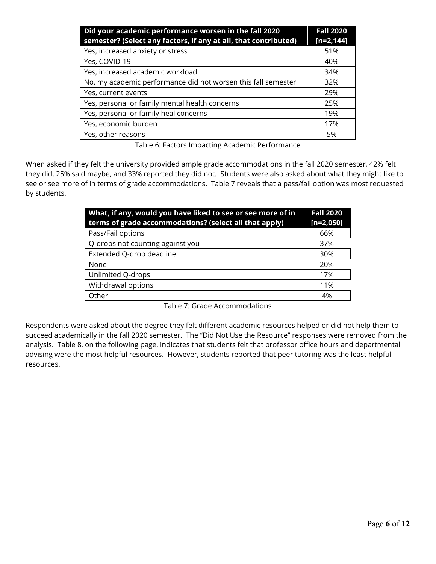| Did your academic performance worsen in the fall 2020<br>semester? (Select any factors, if any at all, that contributed) | <b>Fall 2020</b><br>$[n=2, 144]$ |
|--------------------------------------------------------------------------------------------------------------------------|----------------------------------|
| Yes, increased anxiety or stress                                                                                         | 51%                              |
| Yes, COVID-19                                                                                                            | 40%                              |
| Yes, increased academic workload                                                                                         | 34%                              |
| No, my academic performance did not worsen this fall semester                                                            | 32%                              |
| Yes, current events                                                                                                      | 29%                              |
| Yes, personal or family mental health concerns                                                                           | 25%                              |
| Yes, personal or family heal concerns                                                                                    | 19%                              |
| Yes, economic burden                                                                                                     | 17%                              |
| Yes, other reasons                                                                                                       | 5%                               |

Table 6: Factors Impacting Academic Performance

When asked if they felt the university provided ample grade accommodations in the fall 2020 semester, 42% felt they did, 25% said maybe, and 33% reported they did not. Students were also asked about what they might like to see or see more of in terms of grade accommodations. Table 7 reveals that a pass/fail option was most requested by students.

| What, if any, would you have liked to see or see more of in<br>terms of grade accommodations? (select all that apply) | <b>Fall 2020</b><br>$[n=2,050]$ |
|-----------------------------------------------------------------------------------------------------------------------|---------------------------------|
| Pass/Fail options                                                                                                     | 66%                             |
| Q-drops not counting against you                                                                                      | 37%                             |
| Extended Q-drop deadline                                                                                              | 30%                             |
| None                                                                                                                  | 20%                             |
| Unlimited Q-drops                                                                                                     | 17%                             |
| Withdrawal options                                                                                                    | 11%                             |
| Other                                                                                                                 | 4%                              |

Table 7: Grade Accommodations

Respondents were asked about the degree they felt different academic resources helped or did not help them to succeed academically in the fall 2020 semester. The "Did Not Use the Resource" responses were removed from the analysis. Table 8, on the following page, indicates that students felt that professor office hours and departmental advising were the most helpful resources. However, students reported that peer tutoring was the least helpful resources.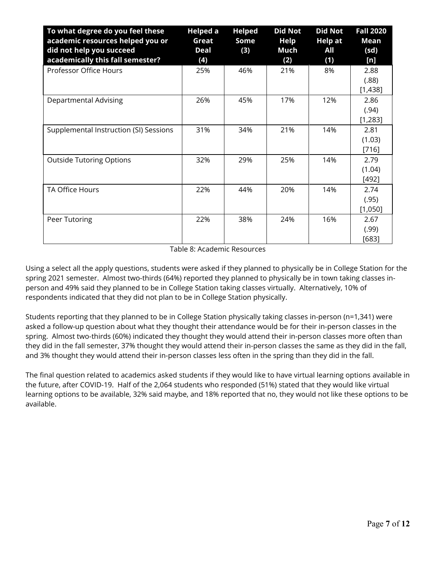| To what degree do you feel these<br>academic resources helped you or<br>did not help you succeed<br>academically this fall semester? | <b>Helped a</b><br>Great<br><b>Deal</b><br>(4) | <b>Helped</b><br>Some<br>(3) | <b>Did Not</b><br><b>Help</b><br>Much<br>(2) | <b>Did Not</b><br><b>Help at</b><br>All<br>(1) | <b>Fall 2020</b><br><b>Mean</b><br>(sd)<br>[n] |
|--------------------------------------------------------------------------------------------------------------------------------------|------------------------------------------------|------------------------------|----------------------------------------------|------------------------------------------------|------------------------------------------------|
| Professor Office Hours                                                                                                               | 25%                                            | 46%                          | 21%                                          | 8%                                             | 2.88<br>(.88)<br>[1,438]                       |
| Departmental Advising                                                                                                                | 26%                                            | 45%                          | 17%                                          | 12%                                            | 2.86<br>(.94)<br>[1,283]                       |
| Supplemental Instruction (SI) Sessions                                                                                               | 31%                                            | 34%                          | 21%                                          | 14%                                            | 2.81<br>(1.03)<br>[716]                        |
| <b>Outside Tutoring Options</b>                                                                                                      | 32%                                            | 29%                          | 25%                                          | 14%                                            | 2.79<br>(1.04)<br>[492]                        |
| TA Office Hours                                                                                                                      | 22%                                            | 44%                          | 20%                                          | 14%                                            | 2.74<br>(.95)<br>[1,050]                       |
| Peer Tutoring                                                                                                                        | 22%                                            | 38%                          | 24%                                          | 16%                                            | 2.67<br>(.99)<br>$[683]$                       |

Table 8: Academic Resources

Using a select all the apply questions, students were asked if they planned to physically be in College Station for the spring 2021 semester. Almost two-thirds (64%) reported they planned to physically be in town taking classes inperson and 49% said they planned to be in College Station taking classes virtually. Alternatively, 10% of respondents indicated that they did not plan to be in College Station physically.

Students reporting that they planned to be in College Station physically taking classes in-person (n=1,341) were asked a follow-up question about what they thought their attendance would be for their in-person classes in the spring. Almost two-thirds (60%) indicated they thought they would attend their in-person classes more often than they did in the fall semester, 37% thought they would attend their in-person classes the same as they did in the fall, and 3% thought they would attend their in-person classes less often in the spring than they did in the fall.

The final question related to academics asked students if they would like to have virtual learning options available in the future, after COVID-19. Half of the 2,064 students who responded (51%) stated that they would like virtual learning options to be available, 32% said maybe, and 18% reported that no, they would not like these options to be available.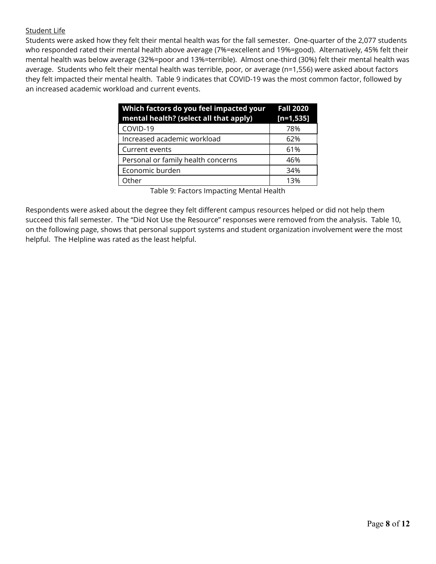#### Student Life

Students were asked how they felt their mental health was for the fall semester. One-quarter of the 2,077 students who responded rated their mental health above average (7%=excellent and 19%=good). Alternatively, 45% felt their mental health was below average (32%=poor and 13%=terrible). Almost one-third (30%) felt their mental health was average. Students who felt their mental health was terrible, poor, or average (n=1,556) were asked about factors they felt impacted their mental health. Table 9 indicates that COVID-19 was the most common factor, followed by an increased academic workload and current events.

| Which factors do you feel impacted your<br>mental health? (select all that apply) | <b>Fall 2020</b><br>$[n=1,535]$ |
|-----------------------------------------------------------------------------------|---------------------------------|
| COVID-19                                                                          | 78%                             |
| Increased academic workload                                                       | 62%                             |
| Current events                                                                    | 61%                             |
| Personal or family health concerns                                                | 46%                             |
| Economic burden                                                                   | 34%                             |
| Other                                                                             | 13%                             |

Table 9: Factors Impacting Mental Health

Respondents were asked about the degree they felt different campus resources helped or did not help them succeed this fall semester. The "Did Not Use the Resource" responses were removed from the analysis. Table 10, on the following page, shows that personal support systems and student organization involvement were the most helpful. The Helpline was rated as the least helpful.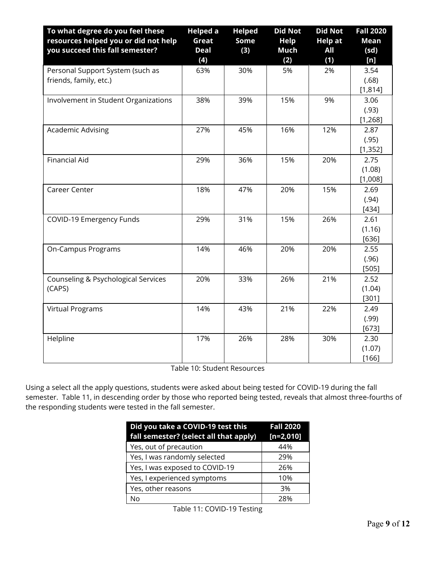| To what degree do you feel these<br>resources helped you or did not help<br>you succeed this fall semester? | <b>Helped a</b><br>Great<br><b>Deal</b><br>(4) | <b>Helped</b><br>Some<br>(3) | <b>Did Not</b><br><b>Help</b><br>Much<br>(2) | <b>Did Not</b><br><b>Help at</b><br>All<br>(1) | <b>Fall 2020</b><br><b>Mean</b><br>(sd)<br>[n] |
|-------------------------------------------------------------------------------------------------------------|------------------------------------------------|------------------------------|----------------------------------------------|------------------------------------------------|------------------------------------------------|
| Personal Support System (such as<br>friends, family, etc.)                                                  | 63%                                            | 30%                          | 5%                                           | 2%                                             | 3.54<br>(.68)<br>[1,814]                       |
| Involvement in Student Organizations                                                                        | 38%                                            | 39%                          | 15%                                          | 9%                                             | 3.06<br>(.93)<br>[1, 268]                      |
| Academic Advising                                                                                           | 27%                                            | 45%                          | 16%                                          | 12%                                            | 2.87<br>(.95)<br>[1, 352]                      |
| <b>Financial Aid</b>                                                                                        | 29%                                            | 36%                          | 15%                                          | 20%                                            | 2.75<br>(1.08)<br>[1,008]                      |
| Career Center                                                                                               | 18%                                            | 47%                          | 20%                                          | 15%                                            | 2.69<br>(.94)<br>$[434]$                       |
| COVID-19 Emergency Funds                                                                                    | 29%                                            | 31%                          | 15%                                          | 26%                                            | 2.61<br>(1.16)<br>$[636]$                      |
| On-Campus Programs                                                                                          | 14%                                            | 46%                          | 20%                                          | 20%                                            | 2.55<br>(.96)<br>[505]                         |
| Counseling & Psychological Services<br>(CAPS)                                                               | 20%                                            | 33%                          | 26%                                          | 21%                                            | 2.52<br>(1.04)<br>[301]                        |
| <b>Virtual Programs</b>                                                                                     | 14%                                            | 43%                          | 21%                                          | 22%                                            | 2.49<br>(.99)<br>$[673]$                       |
| Helpline                                                                                                    | 17%                                            | 26%                          | 28%                                          | 30%                                            | 2.30<br>(1.07)<br>[166]                        |

Table 10: Student Resources

Using a select all the apply questions, students were asked about being tested for COVID-19 during the fall semester. Table 11, in descending order by those who reported being tested, reveals that almost three-fourths of the responding students were tested in the fall semester.

| Did you take a COVID-19 test this<br>fall semester? (select all that apply) | <b>Fall 2020</b><br>$[n=2,010]$ |
|-----------------------------------------------------------------------------|---------------------------------|
| Yes, out of precaution                                                      | 44%                             |
| Yes, I was randomly selected                                                | 29%                             |
| Yes, I was exposed to COVID-19                                              | 26%                             |
| Yes, I experienced symptoms                                                 | 10%                             |
| Yes, other reasons                                                          | 3%                              |
| N٥                                                                          | 28%                             |

Table 11: COVID-19 Testing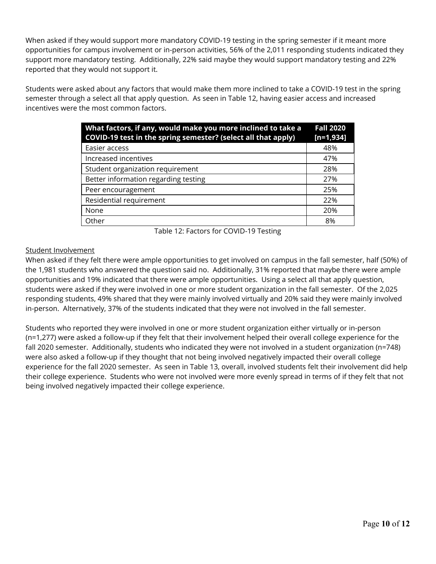When asked if they would support more mandatory COVID-19 testing in the spring semester if it meant more opportunities for campus involvement or in-person activities, 56% of the 2,011 responding students indicated they support more mandatory testing. Additionally, 22% said maybe they would support mandatory testing and 22% reported that they would not support it.

Students were asked about any factors that would make them more inclined to take a COVID-19 test in the spring semester through a select all that apply question. As seen in Table 12, having easier access and increased incentives were the most common factors.

| What factors, if any, would make you more inclined to take a<br>COVID-19 test in the spring semester? (select all that apply) | <b>Fall 2020</b><br>$[n=1,934]$ |
|-------------------------------------------------------------------------------------------------------------------------------|---------------------------------|
| Easier access                                                                                                                 | 48%                             |
| Increased incentives                                                                                                          | 47%                             |
| Student organization requirement                                                                                              | 28%                             |
| Better information regarding testing                                                                                          | 27%                             |
| Peer encouragement                                                                                                            | 25%                             |
| Residential requirement                                                                                                       | 22%                             |
| None                                                                                                                          | 20%                             |
| Other                                                                                                                         | 8%                              |

Table 12: Factors for COVID-19 Testing

## Student Involvement

When asked if they felt there were ample opportunities to get involved on campus in the fall semester, half (50%) of the 1,981 students who answered the question said no. Additionally, 31% reported that maybe there were ample opportunities and 19% indicated that there were ample opportunities. Using a select all that apply question, students were asked if they were involved in one or more student organization in the fall semester. Of the 2,025 responding students, 49% shared that they were mainly involved virtually and 20% said they were mainly involved in-person. Alternatively, 37% of the students indicated that they were not involved in the fall semester.

Students who reported they were involved in one or more student organization either virtually or in-person (n=1,277) were asked a follow-up if they felt that their involvement helped their overall college experience for the fall 2020 semester. Additionally, students who indicated they were not involved in a student organization (n=748) were also asked a follow-up if they thought that not being involved negatively impacted their overall college experience for the fall 2020 semester. As seen in Table 13, overall, involved students felt their involvement did help their college experience. Students who were not involved were more evenly spread in terms of if they felt that not being involved negatively impacted their college experience.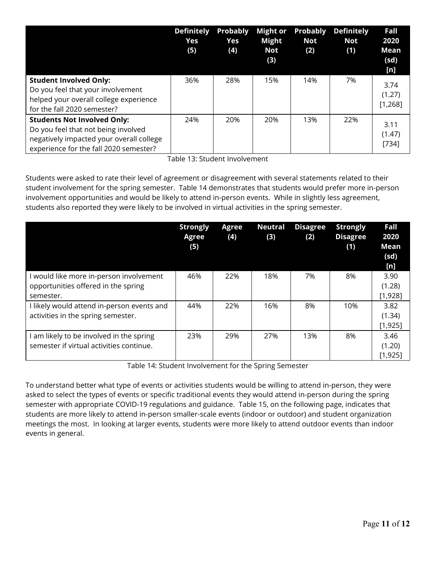|                                                                                                                                                                 | <b>Definitely</b><br>Yes<br>(5) | <b>Probably</b><br>Yes<br>(4) | <b>Might or</b><br><b>Might</b><br>Not<br>(3) | <b>Probably</b><br>Not<br>(2) | <b>Definitely</b><br><b>Not</b><br>(1) | Fall<br>2020<br>Mean<br>(sd)      |
|-----------------------------------------------------------------------------------------------------------------------------------------------------------------|---------------------------------|-------------------------------|-----------------------------------------------|-------------------------------|----------------------------------------|-----------------------------------|
| <b>Student Involved Only:</b><br>Do you feel that your involvement<br>helped your overall college experience<br>for the fall 2020 semester?                     | 36%                             | 28%                           | 15%                                           | 14%                           | 7%                                     | [n]<br>3.74<br>(1.27)<br>[1, 268] |
| <b>Students Not Involved Only:</b><br>Do you feel that not being involved<br>negatively impacted your overall college<br>experience for the fall 2020 semester? | 24%                             | 20%                           | 20%                                           | 13%                           | 22%                                    | 3.11<br>(1.47)<br>[734]           |

Table 13: Student Involvement

Students were asked to rate their level of agreement or disagreement with several statements related to their student involvement for the spring semester. Table 14 demonstrates that students would prefer more in-person involvement opportunities and would be likely to attend in-person events. While in slightly less agreement, students also reported they were likely to be involved in virtual activities in the spring semester.

|                                                                                           | <b>Strongly</b><br>Agree<br>(5) | Agree<br>(4) | <b>Neutral</b><br>(3) | <b>Disagree</b><br>(2) | <b>Strongly</b><br><b>Disagree</b><br>(1) | Fall<br>2020<br><b>Mean</b><br>(sd)<br>[n] |
|-------------------------------------------------------------------------------------------|---------------------------------|--------------|-----------------------|------------------------|-------------------------------------------|--------------------------------------------|
| would like more in-person involvement<br>opportunities offered in the spring<br>semester. | 46%                             | 22%          | 18%                   | 7%                     | 8%                                        | 3.90<br>(1.28)<br>[1,928]                  |
| I likely would attend in-person events and<br>activities in the spring semester.          | 44%                             | 22%          | 16%                   | 8%                     | 10%                                       | 3.82<br>(1.34)<br>[1, 925]                 |
| am likely to be involved in the spring<br>semester if virtual activities continue.        | 23%                             | 29%          | 27%                   | 13%                    | 8%                                        | 3.46<br>(1.20)<br>[1, 925]                 |

Table 14: Student Involvement for the Spring Semester

To understand better what type of events or activities students would be willing to attend in-person, they were asked to select the types of events or specific traditional events they would attend in-person during the spring semester with appropriate COVID-19 regulations and guidance. Table 15, on the following page, indicates that students are more likely to attend in-person smaller-scale events (indoor or outdoor) and student organization meetings the most. In looking at larger events, students were more likely to attend outdoor events than indoor events in general.